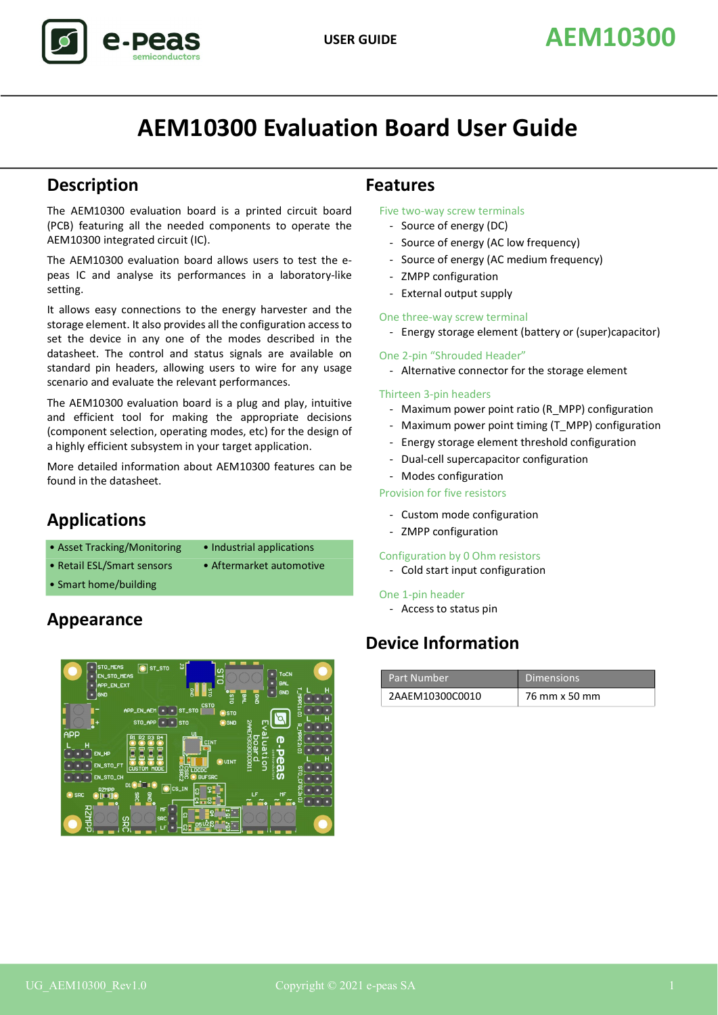# **AEM10300 Evaluation Board User Guide**

# **Description**

The AEM10300 evaluation board is a printed circuit board (PCB) featuring all the needed components to operate the AEM10300 integrated circuit (IC).

The AEM10300 evaluation board allows users to test the epeas IC and analyse its performances in a laboratory-like setting.

It allows easy connections to the energy harvester and the storage element. It also provides all the configuration access to set the device in any one of the modes described in the datasheet. The control and status signals are available on standard pin headers, allowing users to wire for any usage scenario and evaluate the relevant performances.

The AEM10300 evaluation board is a plug and play, intuitive and efficient tool for making the appropriate decisions (component selection, operating modes, etc) for the design of a highly efficient subsystem in your target application.

More detailed information about AEM10300 features can be found in the datasheet.

# **Applications**

- Asset Tracking/Monitoring Industrial applications
	-
- Retail ESI / Smart sensors Aftermarket automotive
	-
- Smart home/building

# **Appearance**



# **Features**

Five two-way screw terminals

- Source of energy (DC)
- Source of energy (AC low frequency)
- Source of energy (AC medium frequency)
- ZMPP configuration
- External output supply

## One three-way screw terminal

- Energy storage element (battery or (super)capacitor)

### One 2-pin "Shrouded Header"

- Alternative connector for the storage element

### Thirteen 3-pin headers

- Maximum power point ratio (R\_MPP) configuration
- Maximum power point timing (T\_MPP) configuration
- Energy storage element threshold configuration
- Dual-cell supercapacitor configuration
- Modes configuration

## Provision for five resistors

- Custom mode configuration
- ZMPP configuration

### Configuration by 0 Ohm resistors

- Cold start input configuration

### One 1-pin header

- Access to status pin

# **Device Information**

| Part Number     | Dimensions    |
|-----------------|---------------|
| 2AAEM10300C0010 | 76 mm x 50 mm |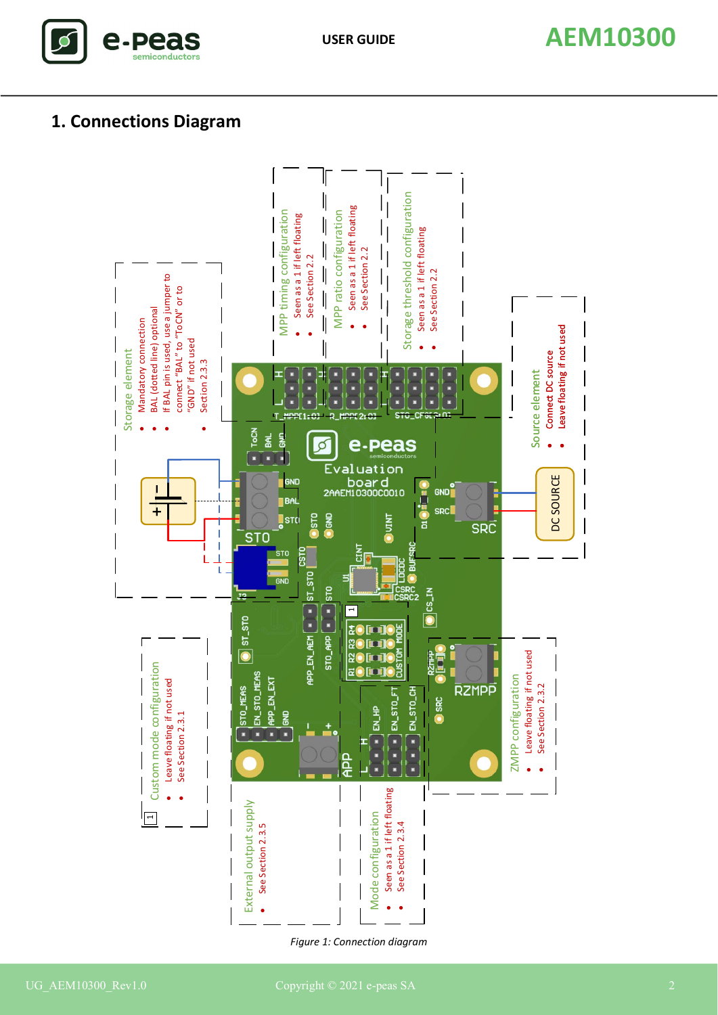

# **1. Connections Diagram**



*Figure 1: Connection diagram*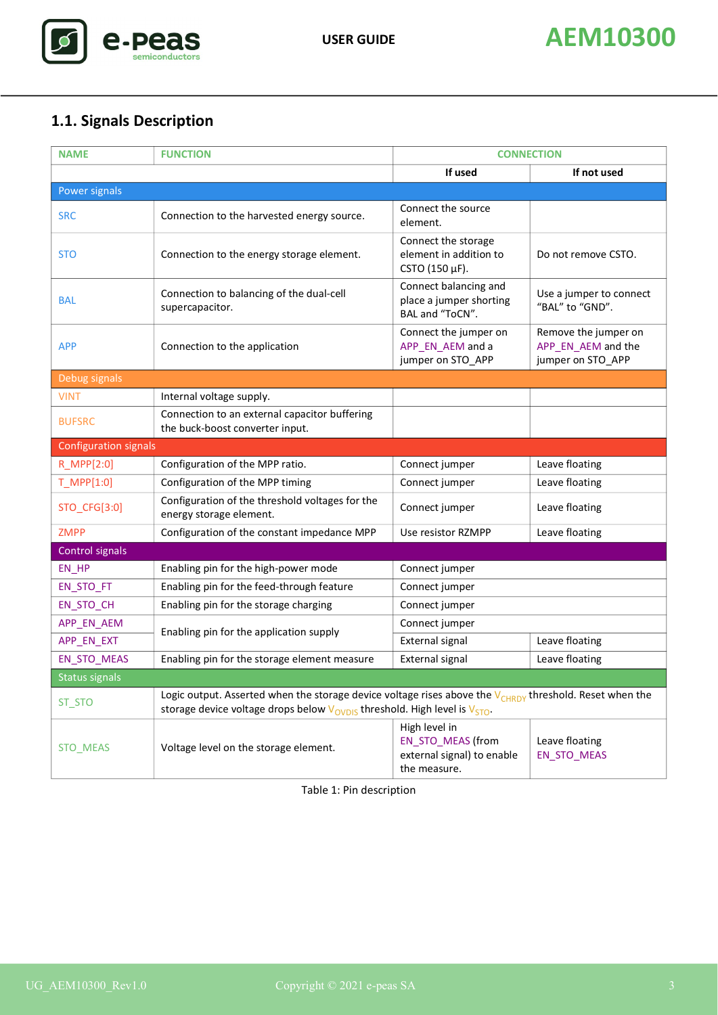

# **1.1. Signals Description**

| <b>NAME</b>                  | <b>FUNCTION</b>                                                                                                                                                                                     | <b>CONNECTION</b>                                                                       |                                                                 |  |  |
|------------------------------|-----------------------------------------------------------------------------------------------------------------------------------------------------------------------------------------------------|-----------------------------------------------------------------------------------------|-----------------------------------------------------------------|--|--|
|                              |                                                                                                                                                                                                     | If used                                                                                 | If not used                                                     |  |  |
| Power signals                |                                                                                                                                                                                                     |                                                                                         |                                                                 |  |  |
| <b>SRC</b>                   | Connection to the harvested energy source.                                                                                                                                                          | Connect the source<br>element.                                                          |                                                                 |  |  |
| <b>STO</b>                   | Connection to the energy storage element.                                                                                                                                                           | Connect the storage<br>element in addition to<br>CSTO (150 µF).                         | Do not remove CSTO.                                             |  |  |
| <b>BAL</b>                   | Connection to balancing of the dual-cell<br>supercapacitor.                                                                                                                                         | Connect balancing and<br>place a jumper shorting<br>BAL and "ToCN".                     | Use a jumper to connect<br>"BAL" to "GND".                      |  |  |
| <b>APP</b>                   | Connection to the application                                                                                                                                                                       | Connect the jumper on<br>APP_EN_AEM and a<br>jumper on STO_APP                          | Remove the jumper on<br>APP_EN_AEM and the<br>jumper on STO_APP |  |  |
| Debug signals                |                                                                                                                                                                                                     |                                                                                         |                                                                 |  |  |
| <b>VINT</b>                  | Internal voltage supply.                                                                                                                                                                            |                                                                                         |                                                                 |  |  |
| <b>BUFSRC</b>                | Connection to an external capacitor buffering<br>the buck-boost converter input.                                                                                                                    |                                                                                         |                                                                 |  |  |
| <b>Configuration signals</b> |                                                                                                                                                                                                     |                                                                                         |                                                                 |  |  |
| R_MPP[2:0]                   | Configuration of the MPP ratio.                                                                                                                                                                     | Connect jumper                                                                          | Leave floating                                                  |  |  |
| T_MPP[1:0]                   | Configuration of the MPP timing                                                                                                                                                                     | Connect jumper                                                                          | Leave floating                                                  |  |  |
| STO_CFG[3:0]                 | Configuration of the threshold voltages for the<br>energy storage element.                                                                                                                          | Connect jumper                                                                          | Leave floating                                                  |  |  |
| <b>ZMPP</b>                  | Configuration of the constant impedance MPP                                                                                                                                                         | Use resistor RZMPP                                                                      | Leave floating                                                  |  |  |
| Control signals              |                                                                                                                                                                                                     |                                                                                         |                                                                 |  |  |
| EN_HP                        | Enabling pin for the high-power mode                                                                                                                                                                | Connect jumper                                                                          |                                                                 |  |  |
| EN_STO_FT                    | Enabling pin for the feed-through feature                                                                                                                                                           | Connect jumper                                                                          |                                                                 |  |  |
| EN_STO_CH                    | Enabling pin for the storage charging                                                                                                                                                               | Connect jumper                                                                          |                                                                 |  |  |
| APP_EN_AEM                   | Enabling pin for the application supply                                                                                                                                                             | Connect jumper                                                                          |                                                                 |  |  |
| APP_EN_EXT                   |                                                                                                                                                                                                     | External signal                                                                         | Leave floating                                                  |  |  |
| EN_STO_MEAS                  | Enabling pin for the storage element measure                                                                                                                                                        | External signal                                                                         | Leave floating                                                  |  |  |
| Status signals               |                                                                                                                                                                                                     |                                                                                         |                                                                 |  |  |
| ST STO                       | Logic output. Asserted when the storage device voltage rises above the $V_{CHRDY}$ threshold. Reset when the<br>storage device voltage drops below $V_{OVDIS}$ threshold. High level is $V_{STO}$ . |                                                                                         |                                                                 |  |  |
| STO_MEAS                     | Voltage level on the storage element.                                                                                                                                                               | High level in<br><b>EN_STO_MEAS (from</b><br>external signal) to enable<br>the measure. | Leave floating<br>EN_STO_MEAS                                   |  |  |

Table 1: Pin description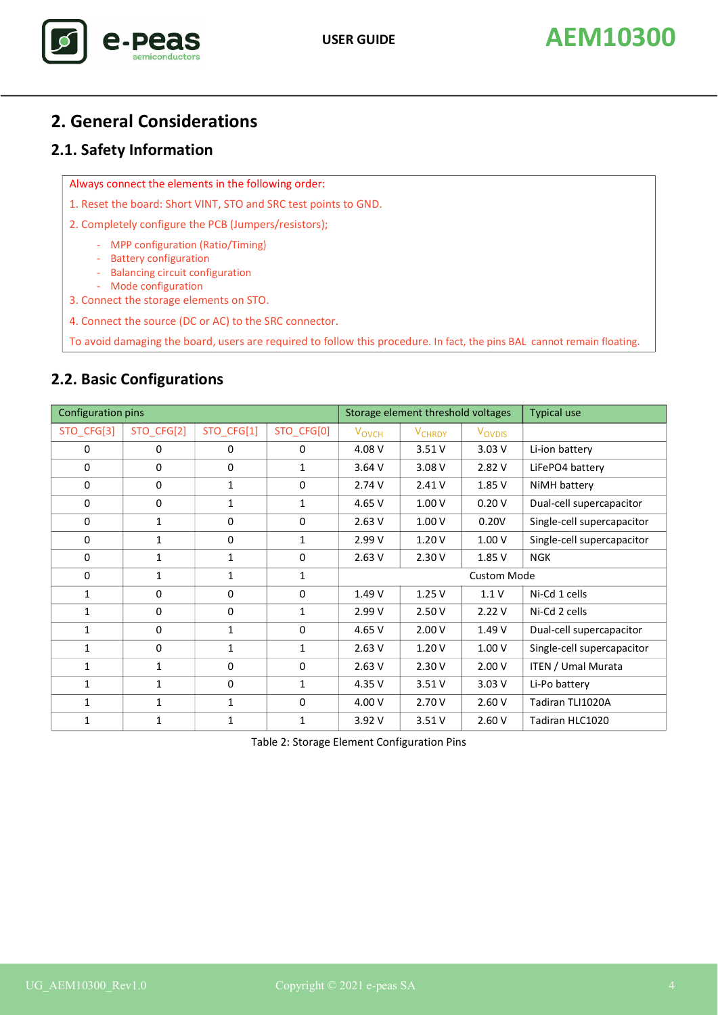# **2. General Considerations**

# <span id="page-3-0"></span>**2.1. Safety Information**

Always connect the elements in the following order:

- 1. Reset the board: Short VINT, STO and SRC test points to GND.
- 2. Completely configure the PCB (Jumpers/resistors);
	- MPP configuration (Ratio/Timing)
	- Battery configuration
	- Balancing circuit configuration
- Mode configuration 3. Connect the storage elements on STO.
- 4. Connect the source (DC or AC) to the SRC connector.

To avoid damaging the board, users are required to follow this procedure. In fact, the pins BAL cannot remain floating.

# **2.2. Basic Configurations**

| Configuration pins |              |              | Storage element threshold voltages |                         | <b>Typical use</b>       |                    |                            |
|--------------------|--------------|--------------|------------------------------------|-------------------------|--------------------------|--------------------|----------------------------|
| STO_CFG[3]         | STO CFG[2]   | STO_CFG[1]   | STO_CFG[0]                         | <b>V<sub>OVCH</sub></b> | <b>V<sub>CHRDY</sub></b> | V <sub>OVDIS</sub> |                            |
| $\mathbf 0$        | 0            | 0            | 0                                  | 4.08 V                  | 3.51V                    | 3.03V              | Li-ion battery             |
| $\mathbf 0$        | 0            | $\mathbf 0$  | 1                                  | 3.64 V                  | 3.08 V                   | 2.82 V             | LiFePO4 battery            |
| $\mathbf 0$        | 0            | $\mathbf{1}$ | 0                                  | 2.74V                   | 2.41V                    | 1.85 V             | NiMH battery               |
| 0                  | 0            | $\mathbf{1}$ | 1                                  | 4.65 V                  | 1.00V                    | 0.20V              | Dual-cell supercapacitor   |
| $\Omega$           | $\mathbf{1}$ | $\Omega$     | $\mathbf 0$                        | 2.63V                   | 1.00V                    | 0.20V              | Single-cell supercapacitor |
| $\Omega$           | $\mathbf{1}$ | $\mathbf 0$  | $\mathbf{1}$                       | 2.99 V                  | 1.20V                    | 1.00V              | Single-cell supercapacitor |
| $\mathbf 0$        | 1            | $\mathbf{1}$ | $\mathbf 0$                        | 2.63V                   | 2.30V                    | 1.85 V             | <b>NGK</b>                 |
| $\mathbf 0$        | 1            | $\mathbf{1}$ | $\mathbf{1}$                       | <b>Custom Mode</b>      |                          |                    |                            |
| 1                  | $\mathbf 0$  | 0            | 0                                  | 1.49 V                  | 1.25V                    | 1.1V               | Ni-Cd 1 cells              |
| 1                  | $\mathbf 0$  | 0            | $\mathbf{1}$                       | 2.99 V                  | 2.50V                    | 2.22V              | Ni-Cd 2 cells              |
| $\mathbf{1}$       | $\mathbf 0$  | $\mathbf{1}$ | $\mathbf 0$                        | 4.65 V                  | 2.00V                    | 1.49 V             | Dual-cell supercapacitor   |
| $\mathbf{1}$       | $\mathbf 0$  | $\mathbf{1}$ | $\mathbf{1}$                       | 2.63V                   | 1.20V                    | 1.00V              | Single-cell supercapacitor |
| $\mathbf{1}$       | 1            | $\Omega$     | $\pmb{0}$                          | 2.63V                   | 2.30V                    | 2.00V              | ITEN / Umal Murata         |
| 1                  | 1            | 0            | $\mathbf{1}$                       | 4.35 V                  | 3.51V                    | 3.03V              | Li-Po battery              |
| 1                  | 1            | $\mathbf{1}$ | 0                                  | 4.00 V                  | 2.70V                    | 2.60V              | Tadiran TLI1020A           |
| 1                  | 1            | 1            | 1                                  | 3.92 V                  | 3.51V                    | 2.60V              | Tadiran HLC1020            |

Table 2: Storage Element Configuration Pins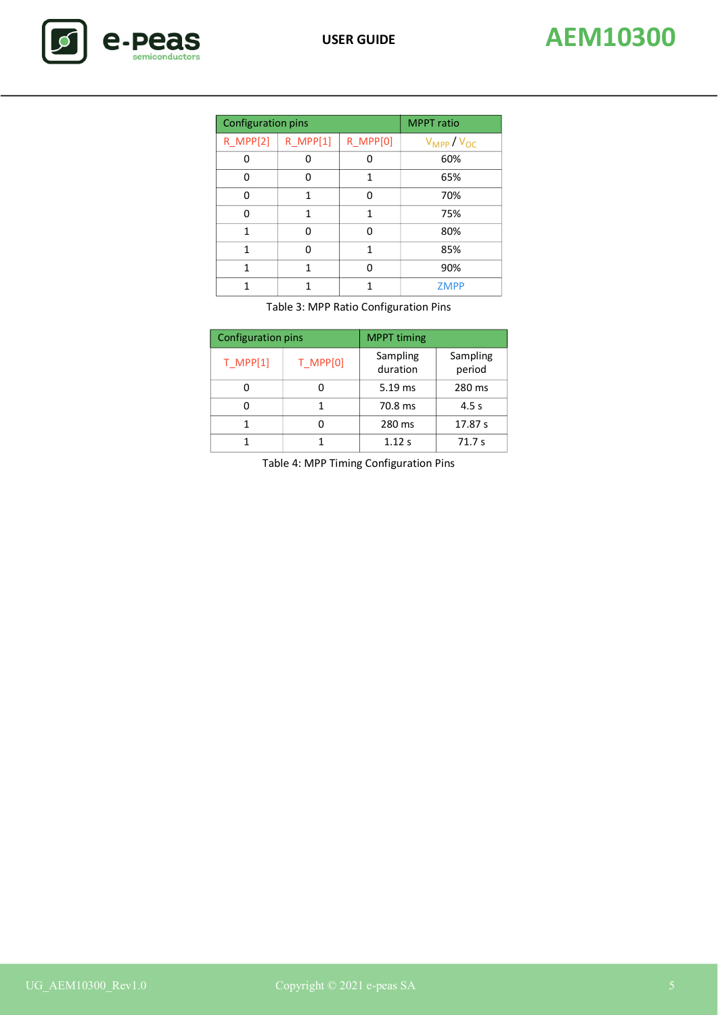| <b>Configuration pins</b> |          |                 | <b>MPPT</b> ratio  |  |
|---------------------------|----------|-----------------|--------------------|--|
| <b>R_MPP[2]</b>           | R MPP[1] | <b>R MPP[0]</b> | $V_{MPP} / V_{OC}$ |  |
| ŋ                         | ŋ        |                 | 60%                |  |
| 0                         | ŋ        | 1               | 65%                |  |
| ი                         | 1        | n               | 70%                |  |
| ŋ                         | 1        | 1               | 75%                |  |
| 1                         | ŋ        | ŋ               | 80%                |  |
| 1                         | n        | 1               | 85%                |  |
| 1                         | 1        | n               | 90%                |  |
| 1                         | 1        | 1               | <b>ZMPP</b>        |  |

Table 3: MPP Ratio Configuration Pins

| <b>Configuration pins</b> |          | <b>MPPT</b> timing   |                    |  |
|---------------------------|----------|----------------------|--------------------|--|
| $T$ MPP[1]                | T MPP[0] | Sampling<br>duration | Sampling<br>period |  |
|                           |          | 5.19 ms              | 280 ms             |  |
|                           |          | 70.8 ms              | 4.5 s              |  |
|                           |          | 280 ms               | 17.87 s            |  |
|                           |          | 1.12 s               | 71.7s              |  |

Table 4: MPP Timing Configuration Pins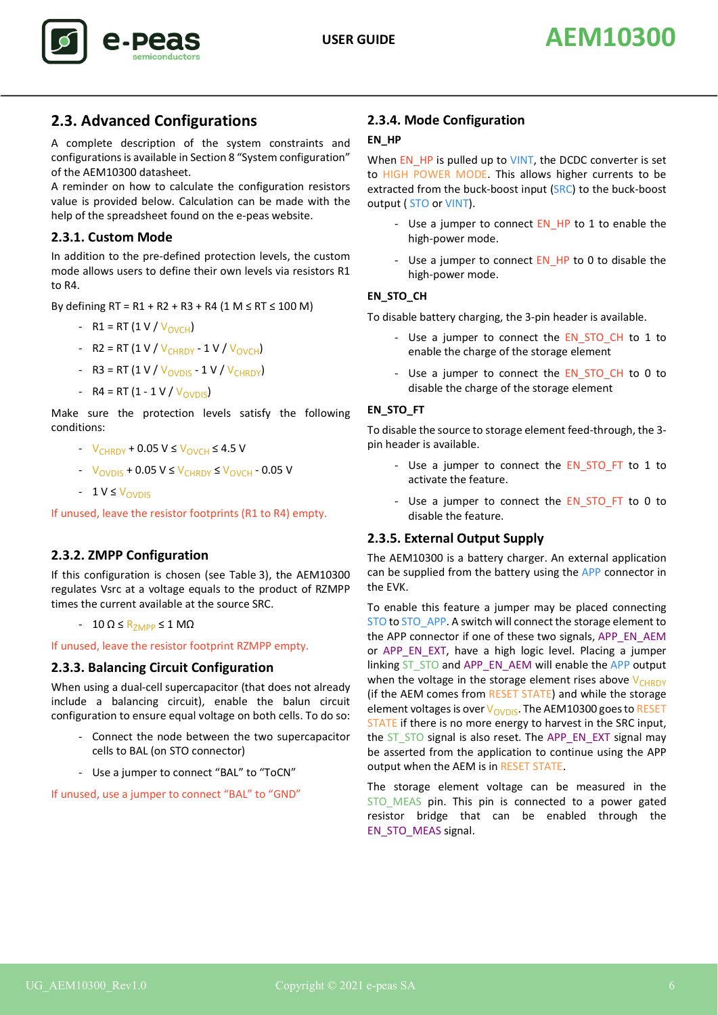

# **2.3. Advanced Configurations**

A complete description of the system constraints and configurations is available in Section 8 "System configuration" of the AEM10300 datasheet.

A reminder on how to calculate the configuration resistors value is provided below. Calculation can be made with the help of the spreadsheet found on the e-peas website.

## **2.3.1. Custom Mode**

In addition to the pre-defined protection levels, the custom mode allows users to define their own levels via resistors R1 to R4.

By defining  $RT = R1 + R2 + R3 + R4$  (1 M ≤ RT ≤ 100 M)

- R1 = RT (1 V /  $V_{\text{ONCH}}$ )
- R2 = RT (1 V /  $V_{CHRDY}$  1 V /  $V_{OVCH}$ )
- R3 = RT  $(1 V / V_{\text{OVDIS}} 1 V / V_{\text{CHRDY}})$
- R4 = RT (1 1 V /  $V_{\text{ONDIS}}$ )

Make sure the protection levels satisfy the following conditions:

- $-V_{CHRDY} + 0.05 V \leq V_{OVCH} \leq 4.5 V$
- $V_{\text{OVDIS}} + 0.05 \text{ V} \leq V_{\text{CHRDY}} \leq V_{\text{OVCH}} 0.05 \text{ V}$
- $-1 V \leq V_{OVDIS}$

If unused, leave the resistor footprints (R1 to R4) empty.

# **2.3.2. ZMPP Configuration**

If this configuration is chosen (see Table 3), the AEM10300 regulates Vsrc at a voltage equals to the product of RZMPP times the current available at the source SRC.

 $-10 \Omega \leq R$ <sub>ZMPP</sub>  $\leq 1 \text{ M}\Omega$ 

If unused, leave the resistor footprint RZMPP empty.

## **2.3.3. Balancing Circuit Configuration**

When using a dual-cell supercapacitor (that does not already include a balancing circuit), enable the balun circuit configuration to ensure equal voltage on both cells. To do so:

- Connect the node between the two supercapacitor cells to BAL (on STO connector)
- Use a jumper to connect "BAL" to "ToCN"

If unused, use a jumper to connect "BAL" to "GND"

## **2.3.4. Mode Configuration**

## **EN\_HP**

When EN\_HP is pulled up to VINT, the DCDC converter is set to HIGH POWER MODE. This allows higher currents to be extracted from the buck-boost input (SRC) to the buck-boost output ( STO or VINT).

- Use a jumper to connect EN\_HP to 1 to enable the high-power mode.
- Use a jumper to connect EN\_HP to 0 to disable the high-power mode.

## **EN\_STO\_CH**

To disable battery charging, the 3-pin header is available.

- Use a jumper to connect the EN\_STO\_CH to 1 to enable the charge of the storage element
- Use a jumper to connect the EN\_STO\_CH to 0 to disable the charge of the storage element

### **EN\_STO\_FT**

To disable the source to storage element feed-through, the 3 pin header is available.

- Use a jumper to connect the EN STO FT to 1 to activate the feature.
- Use a jumper to connect the EN STO FT to 0 to disable the feature.

# **2.3.5. External Output Supply**

The AEM10300 is a battery charger. An external application can be supplied from the battery using the APP connector in the EVK.

To enable this feature a jumper may be placed connecting STO to STO APP. A switch will connect the storage element to the APP connector if one of these two signals, APP\_EN\_AEM or APP\_EN\_EXT, have a high logic level. Placing a jumper linking ST\_STO and APP\_EN\_AEM will enable the APP output when the voltage in the storage element rises above  $V_{CHRDY}$ (if the AEM comes from RESET STATE) and while the storage element voltages is over  $V_{\text{OVDIS}}$ . The AEM10300 goes to RESET STATE if there is no more energy to harvest in the SRC input, the ST\_STO signal is also reset. The APP\_EN\_EXT signal may be asserted from the application to continue using the APP output when the AEM is in RESET STATE.

The storage element voltage can be measured in the STO MEAS pin. This pin is connected to a power gated resistor bridge that can be enabled through the EN\_STO\_MEAS signal.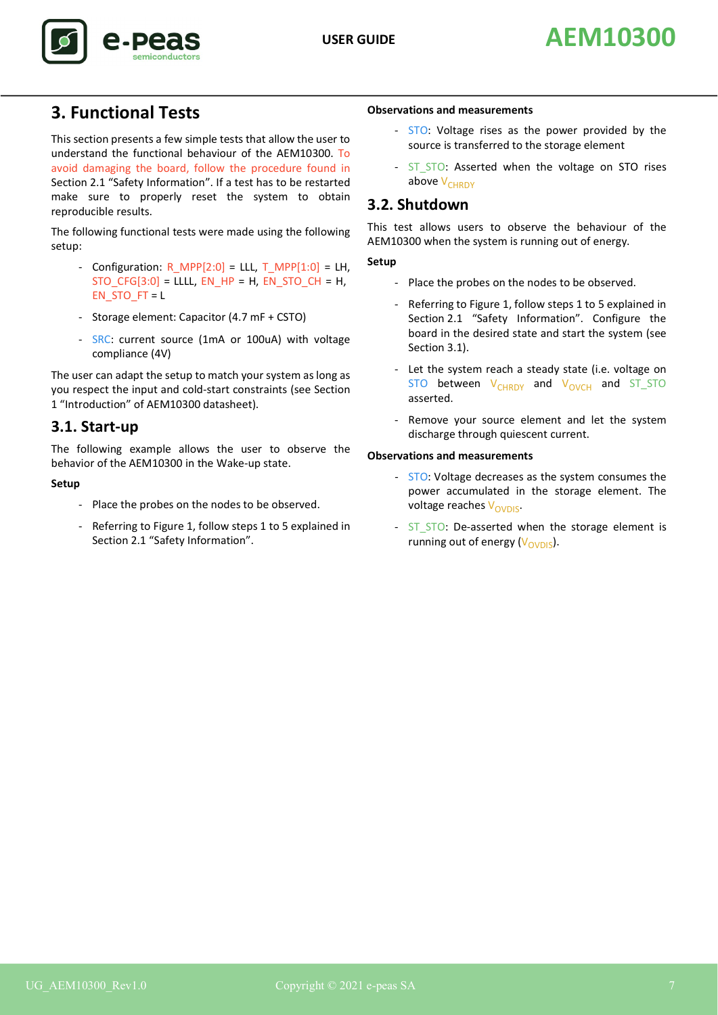



# **3. Functional Tests**

This section presents a few simple tests that allow the user to understand the functional behaviour of the AEM10300. To avoid damaging the board, follow the procedure found in [Section 2.1 "Safety Information"](#page-3-0). If a test has to be restarted make sure to properly reset the system to obtain reproducible results.

The following functional tests were made using the following setup:

- Configuration: R\_MPP[2:0] = LLL, T\_MPP[1:0] = LH,  $STO_CFG[3:0] = LLLL$ ,  $EN_HP = H$ ,  $EN_STO_CH = H$ , EN\_STO\_FT = L
- Storage element: Capacitor (4.7 mF + CSTO)
- SRC: current source (1mA or 100uA) with voltage compliance (4V)

The user can adapt the setup to match your system as long as you respect the input and cold-start constraints (see Section 1 "Introduction" of AEM10300 datasheet).

# <span id="page-6-0"></span>**3.1. Start-up**

The following example allows the user to observe the behavior of the AEM10300 in the Wake-up state.

## **Setup**

- Place the probes on the nodes to be observed.
- Referring to Figure 1, follow steps 1 to 5 explained in [Section 2.1 "Safety Information".](#page-3-0)

#### **Observations and measurements**

- STO: Voltage rises as the power provided by the source is transferred to the storage element
- ST\_STO: Asserted when the voltage on STO rises above  $V_{CHRDY}$

# **3.2. Shutdown**

This test allows users to observe the behaviour of the AEM10300 when the system is running out of energy.

#### **Setup**

- Place the probes on the nodes to be observed.
- Referring to Figure 1, follow steps 1 to 5 explained in [Section 2.1 "Safety Information"](#page-3-0). Configure the board in the desired state and start the system (see [Section 3.1\)](#page-6-0).
- Let the system reach a steady state (i.e. voltage on  $STO$  between  $V_{CHRDY}$  and  $V_{OVCH}$  and  $ST\_STO$ asserted.
- Remove your source element and let the system discharge through quiescent current.

### **Observations and measurements**

- STO: Voltage decreases as the system consumes the power accumulated in the storage element. The voltage reaches V<sub>OVDIS</sub>.
- ST\_STO: De-asserted when the storage element is running out of energy  $(V_{\text{OVDIS}})$ .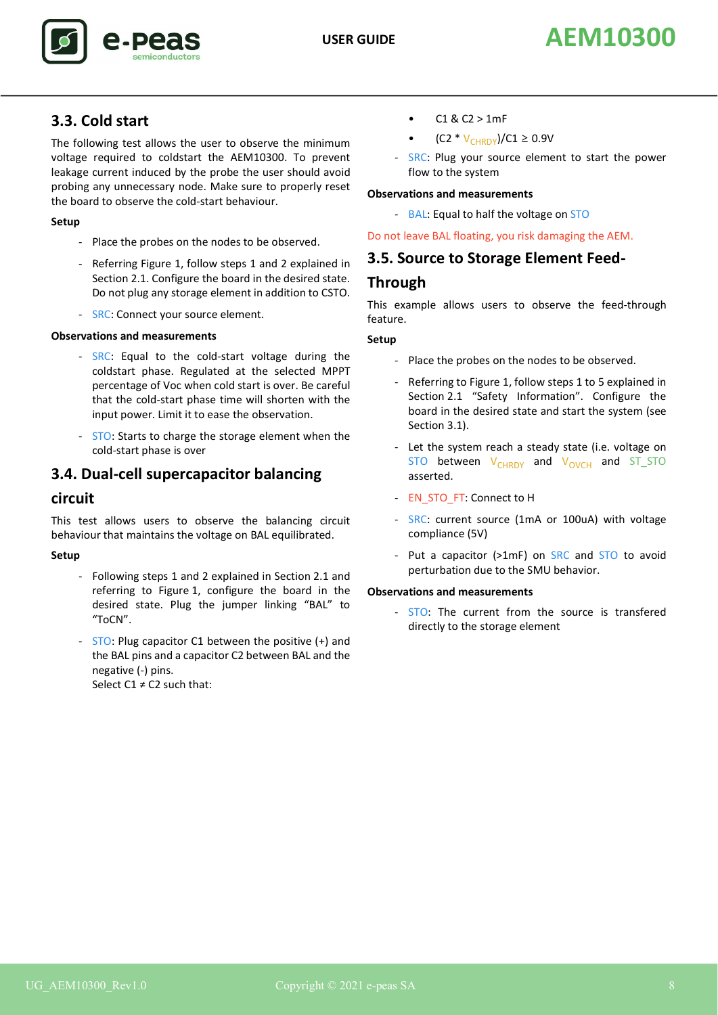# **3.3. Cold start**

The following test allows the user to observe the minimum voltage required to coldstart the AEM10300. To prevent leakage current induced by the probe the user should avoid probing any unnecessary node. Make sure to properly reset the board to observe the cold-start behaviour.

## **Setup**

- Place the probes on the nodes to be observed.
- Referring Figure 1, follow steps 1 and 2 explained in [Section 2.1](#page-3-0). Configure the board in the desired state. Do not plug any storage element in addition to CSTO.
- SRC: Connect your source element.

### **Observations and measurements**

- SRC: Equal to the cold-start voltage during the coldstart phase. Regulated at the selected MPPT percentage of Voc when cold start is over. Be careful that the cold-start phase time will shorten with the input power. Limit it to ease the observation.
- STO: Starts to charge the storage element when the cold-start phase is over

# **3.4. Dual-cell supercapacitor balancing**

## **circuit**

This test allows users to observe the balancing circuit behaviour that maintains the voltage on BAL equilibrated.

## **Setup**

- Following steps 1 and 2 explained in [Section 2.1](#page-3-0) and referring to Figure 1, configure the board in the desired state. Plug the jumper linking "BAL" to "ToCN".
- STO: Plug capacitor C1 between the positive (+) and the BAL pins and a capacitor C2 between BAL and the negative (-) pins. Select  $C1 \neq C2$  such that:
- $C1 & C2 > 1mF$
- $(C2 * V_{CHRDY})/C1 \ge 0.9V$
- SRC: Plug your source element to start the power flow to the system

### **Observations and measurements**

- BAL: Equal to half the voltage on STO

### Do not leave BAL floating, you risk damaging the AEM.

## **3.5. Source to Storage Element Feed-**

# **Through**

This example allows users to observe the feed-through feature.

### **Setup**

- Place the probes on the nodes to be observed.
- Referring to Figure 1, follow steps 1 to 5 explained in [Section 2.1 "Safety Information"](#page-3-0). Configure the board in the desired state and start the system (see [Section 3.1\)](#page-6-0).
- Let the system reach a steady state (i.e. voltage on  $STO$  between  $V_{CHRDY}$  and  $V_{OVCH}$  and  $ST\_STO$ asserted.
- EN\_STO\_FT: Connect to H
- SRC: current source (1mA or 100uA) with voltage compliance (5V)
- Put a capacitor (>1mF) on SRC and STO to avoid perturbation due to the SMU behavior.

### **Observations and measurements**

- STO: The current from the source is transfered directly to the storage element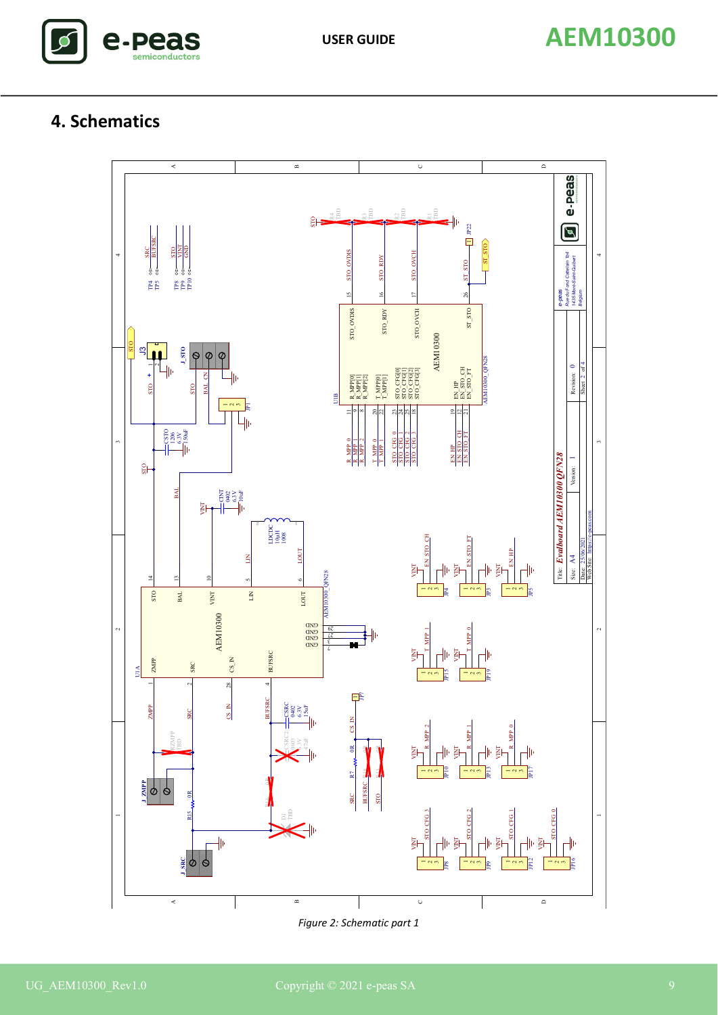

# **4. Schematics**



*Figure 2: Schematic part 1*